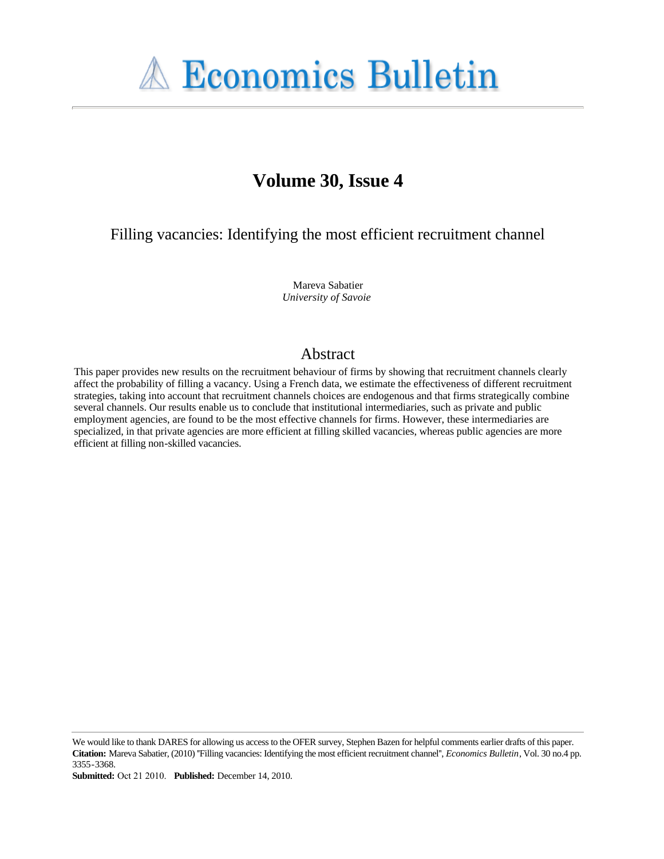

# **Volume 30, Issue 4**

Filling vacancies: Identifying the most efficient recruitment channel

Mareva Sabatier *University of Savoie*

# Abstract

This paper provides new results on the recruitment behaviour of firms by showing that recruitment channels clearly affect the probability of filling a vacancy. Using a French data, we estimate the effectiveness of different recruitment strategies, taking into account that recruitment channels choices are endogenous and that firms strategically combine several channels. Our results enable us to conclude that institutional intermediaries, such as private and public employment agencies, are found to be the most effective channels for firms. However, these intermediaries are specialized, in that private agencies are more efficient at filling skilled vacancies, whereas public agencies are more efficient at filling non-skilled vacancies.

**Submitted:** Oct 21 2010. **Published:** December 14, 2010.

We would like to thank DARES for allowing us access to the OFER survey, Stephen Bazen for helpful comments earlier drafts of this paper. **Citation:** Mareva Sabatier, (2010) ''Filling vacancies: Identifying the most efficient recruitment channel'', *Economics Bulletin*, Vol. 30 no.4 pp. 3355-3368.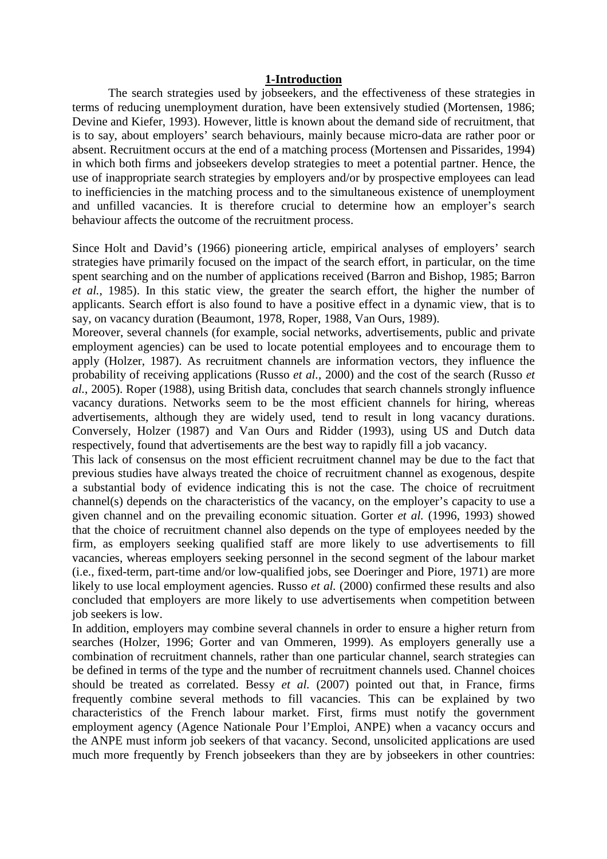### **1-Introduction**

 The search strategies used by jobseekers, and the effectiveness of these strategies in terms of reducing unemployment duration, have been extensively studied (Mortensen, 1986; Devine and Kiefer, 1993). However, little is known about the demand side of recruitment, that is to say, about employers' search behaviours, mainly because micro-data are rather poor or absent. Recruitment occurs at the end of a matching process (Mortensen and Pissarides, 1994) in which both firms and jobseekers develop strategies to meet a potential partner. Hence, the use of inappropriate search strategies by employers and/or by prospective employees can lead to inefficiencies in the matching process and to the simultaneous existence of unemployment and unfilled vacancies. It is therefore crucial to determine how an employer's search behaviour affects the outcome of the recruitment process.

Since Holt and David's (1966) pioneering article, empirical analyses of employers' search strategies have primarily focused on the impact of the search effort, in particular, on the time spent searching and on the number of applications received (Barron and Bishop, 1985; Barron *et al.*, 1985). In this static view, the greater the search effort, the higher the number of applicants. Search effort is also found to have a positive effect in a dynamic view, that is to say, on vacancy duration (Beaumont, 1978, Roper, 1988, Van Ours, 1989).

Moreover, several channels (for example, social networks, advertisements, public and private employment agencies) can be used to locate potential employees and to encourage them to apply (Holzer, 1987). As recruitment channels are information vectors, they influence the probability of receiving applications (Russo *et al.*, 2000) and the cost of the search (Russo *et al.*, 2005). Roper (1988), using British data, concludes that search channels strongly influence vacancy durations. Networks seem to be the most efficient channels for hiring, whereas advertisements, although they are widely used, tend to result in long vacancy durations. Conversely, Holzer (1987) and Van Ours and Ridder (1993), using US and Dutch data respectively, found that advertisements are the best way to rapidly fill a job vacancy.

This lack of consensus on the most efficient recruitment channel may be due to the fact that previous studies have always treated the choice of recruitment channel as exogenous, despite a substantial body of evidence indicating this is not the case. The choice of recruitment channel(s) depends on the characteristics of the vacancy, on the employer's capacity to use a given channel and on the prevailing economic situation. Gorter *et al.* (1996, 1993) showed that the choice of recruitment channel also depends on the type of employees needed by the firm, as employers seeking qualified staff are more likely to use advertisements to fill vacancies, whereas employers seeking personnel in the second segment of the labour market (i.e., fixed-term, part-time and/or low-qualified jobs, see Doeringer and Piore, 1971) are more likely to use local employment agencies. Russo *et al.* (2000) confirmed these results and also concluded that employers are more likely to use advertisements when competition between job seekers is low.

In addition, employers may combine several channels in order to ensure a higher return from searches (Holzer, 1996; Gorter and van Ommeren, 1999). As employers generally use a combination of recruitment channels, rather than one particular channel, search strategies can be defined in terms of the type and the number of recruitment channels used. Channel choices should be treated as correlated. Bessy *et al.* (2007) pointed out that, in France, firms frequently combine several methods to fill vacancies. This can be explained by two characteristics of the French labour market. First, firms must notify the government employment agency (Agence Nationale Pour l'Emploi, ANPE) when a vacancy occurs and the ANPE must inform job seekers of that vacancy. Second, unsolicited applications are used much more frequently by French jobseekers than they are by jobseekers in other countries: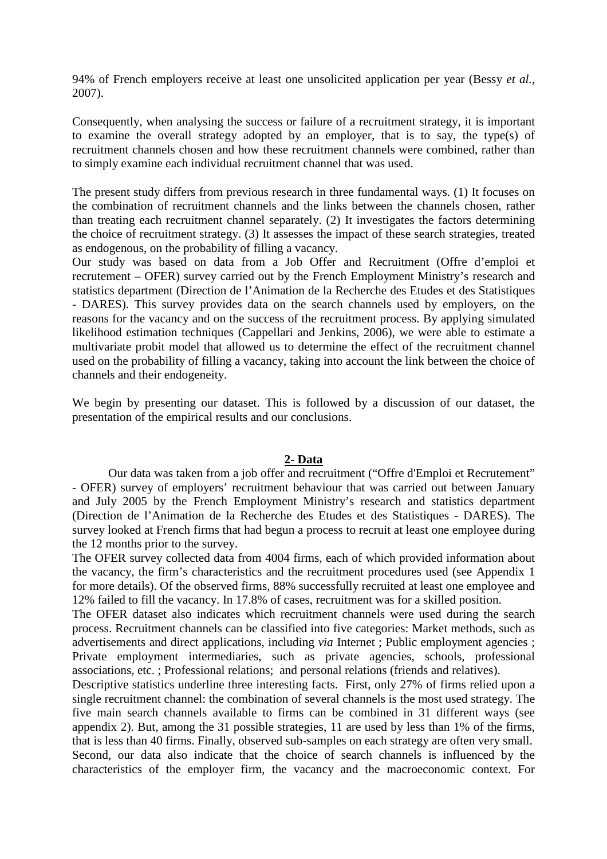94% of French employers receive at least one unsolicited application per year (Bessy *et al.*, 2007).

Consequently, when analysing the success or failure of a recruitment strategy, it is important to examine the overall strategy adopted by an employer, that is to say, the type(s) of recruitment channels chosen and how these recruitment channels were combined, rather than to simply examine each individual recruitment channel that was used.

The present study differs from previous research in three fundamental ways. (1) It focuses on the combination of recruitment channels and the links between the channels chosen, rather than treating each recruitment channel separately. (2) It investigates the factors determining the choice of recruitment strategy. (3) It assesses the impact of these search strategies, treated as endogenous, on the probability of filling a vacancy.

Our study was based on data from a Job Offer and Recruitment (Offre d'emploi et recrutement – OFER) survey carried out by the French Employment Ministry's research and statistics department (Direction de l'Animation de la Recherche des Etudes et des Statistiques - DARES). This survey provides data on the search channels used by employers, on the reasons for the vacancy and on the success of the recruitment process. By applying simulated likelihood estimation techniques (Cappellari and Jenkins, 2006), we were able to estimate a multivariate probit model that allowed us to determine the effect of the recruitment channel used on the probability of filling a vacancy, taking into account the link between the choice of channels and their endogeneity.

We begin by presenting our dataset. This is followed by a discussion of our dataset, the presentation of the empirical results and our conclusions.

### **2- Data**

Our data was taken from a job offer and recruitment ("Offre d'Emploi et Recrutement" - OFER) survey of employers' recruitment behaviour that was carried out between January and July 2005 by the French Employment Ministry's research and statistics department (Direction de l'Animation de la Recherche des Etudes et des Statistiques - DARES). The survey looked at French firms that had begun a process to recruit at least one employee during the 12 months prior to the survey.

The OFER survey collected data from 4004 firms, each of which provided information about the vacancy, the firm's characteristics and the recruitment procedures used (see Appendix 1 for more details). Of the observed firms, 88% successfully recruited at least one employee and 12% failed to fill the vacancy. In 17.8% of cases, recruitment was for a skilled position.

The OFER dataset also indicates which recruitment channels were used during the search process. Recruitment channels can be classified into five categories: Market methods, such as advertisements and direct applications, including *via* Internet ; Public employment agencies ; Private employment intermediaries, such as private agencies, schools, professional associations, etc. ; Professional relations; and personal relations (friends and relatives).

Descriptive statistics underline three interesting facts. First, only 27% of firms relied upon a single recruitment channel: the combination of several channels is the most used strategy. The five main search channels available to firms can be combined in 31 different ways (see appendix 2). But, among the 31 possible strategies, 11 are used by less than 1% of the firms, that is less than 40 firms. Finally, observed sub-samples on each strategy are often very small. Second, our data also indicate that the choice of search channels is influenced by the characteristics of the employer firm, the vacancy and the macroeconomic context. For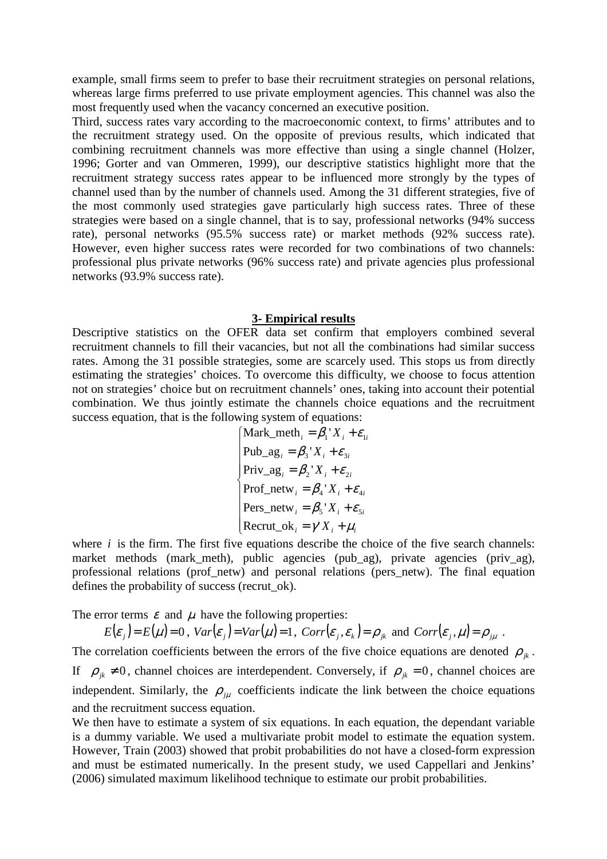example, small firms seem to prefer to base their recruitment strategies on personal relations, whereas large firms preferred to use private employment agencies. This channel was also the most frequently used when the vacancy concerned an executive position.

Third, success rates vary according to the macroeconomic context, to firms' attributes and to the recruitment strategy used. On the opposite of previous results, which indicated that combining recruitment channels was more effective than using a single channel (Holzer, 1996; Gorter and van Ommeren, 1999), our descriptive statistics highlight more that the recruitment strategy success rates appear to be influenced more strongly by the types of channel used than by the number of channels used. Among the 31 different strategies, five of the most commonly used strategies gave particularly high success rates. Three of these strategies were based on a single channel, that is to say, professional networks (94% success rate), personal networks (95.5% success rate) or market methods (92% success rate). However, even higher success rates were recorded for two combinations of two channels: professional plus private networks (96% success rate) and private agencies plus professional networks (93.9% success rate).

#### **3- Empirical results**

Descriptive statistics on the OFER data set confirm that employers combined several recruitment channels to fill their vacancies, but not all the combinations had similar success rates. Among the 31 possible strategies, some are scarcely used. This stops us from directly estimating the strategies' choices. To overcome this difficulty, we choose to focus attention not on strategies' choice but on recruitment channels' ones, taking into account their potential combination. We thus jointly estimate the channels choice equations and the recruitment success equation, that is the following system of equations:

> $\overline{1}$  $\overline{ }$  $\left\{ \text{Pers\_network}_i = \beta_5 \, ^t X_i + \varepsilon_{5i} \right\}$  $\overline{a}$  $\left[ \text{Recrut\_ok}_i = \gamma' X_i + \mu_i \right]$  $\overline{\phantom{a}}$  $\overline{a}$  $\begin{bmatrix} \text{Pub\_ag}_i = \beta_3' X_i + \varepsilon_{3i} \end{bmatrix}$ {  $\left[\text{Mark\_meth}_i = \beta_1' X_i + \varepsilon_{1i}\right]$  $=\beta _{4}$  '  $X_{i}$  +  $= \beta_{2} X_{i} +$  $i - \mu_4$   $\Lambda_i$   $\cdot$   $\epsilon_{4i}$  $i - \mu_2 \mathbf{A}_i \cdot \mathbf{C}_{2i}$ *X X*  $\beta_{\scriptscriptstyle 4}{}^{\scriptscriptstyle +} X_{\scriptscriptstyle i} + \varepsilon$  $\beta_{2}$ '  $X_{i} + \varepsilon$ Prof\_netw<sub>i</sub> =  $\beta_4$ ' Priv\_ag<sub>i</sub> =  $\beta$ <sup>'</sup>  $4 \mathbf{A} i \mathbf{C} 4$ 2  $\mathbf{r}_i$   $\mathbf{c}_2$

where  $i$  is the firm. The first five equations describe the choice of the five search channels: market methods (mark\_meth), public agencies (pub\_ag), private agencies (priv\_ag), professional relations (prof\_netw) and personal relations (pers\_netw). The final equation defines the probability of success (recrut ok).

The error terms  $\varepsilon$  and  $\mu$  have the following properties:

$$
E(\varepsilon_j) = E(\mu) = 0
$$
,  $Var(\varepsilon_j) = Var(\mu) = 1$ ,  $Corr(\varepsilon_j, \varepsilon_k) = \rho_{jk}$  and  $Corr(\varepsilon_j, \mu) = \rho_{jk}$ .

The correlation coefficients between the errors of the five choice equations are denoted  $\rho_{ik}$ . If  $\rho_{jk} \neq 0$ , channel choices are interdependent. Conversely, if  $\rho_{jk} = 0$ , channel choices are independent. Similarly, the  $\rho_{j\mu}$  coefficients indicate the link between the choice equations and the recruitment success equation.

We then have to estimate a system of six equations. In each equation, the dependant variable is a dummy variable. We used a multivariate probit model to estimate the equation system. However, Train (2003) showed that probit probabilities do not have a closed-form expression and must be estimated numerically. In the present study, we used Cappellari and Jenkins' (2006) simulated maximum likelihood technique to estimate our probit probabilities.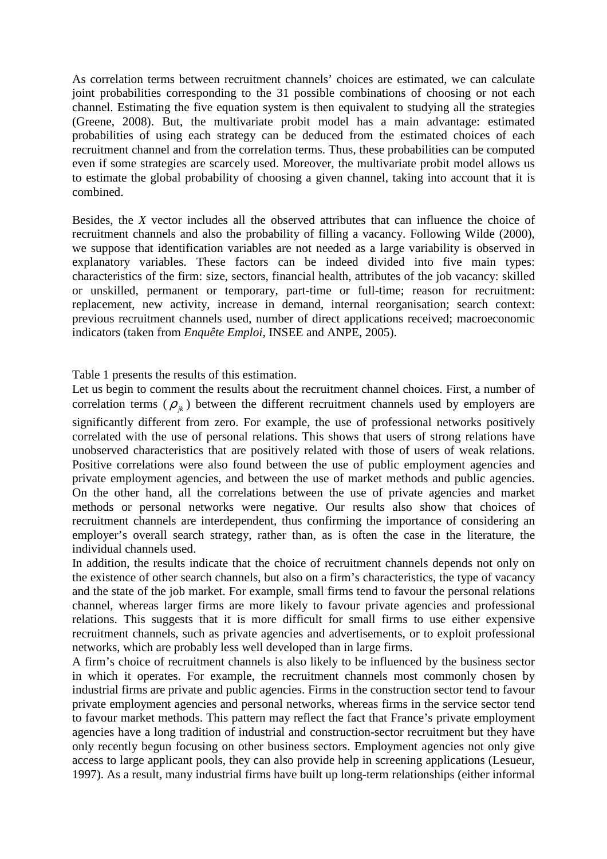As correlation terms between recruitment channels' choices are estimated, we can calculate joint probabilities corresponding to the 31 possible combinations of choosing or not each channel. Estimating the five equation system is then equivalent to studying all the strategies (Greene, 2008). But, the multivariate probit model has a main advantage: estimated probabilities of using each strategy can be deduced from the estimated choices of each recruitment channel and from the correlation terms. Thus, these probabilities can be computed even if some strategies are scarcely used. Moreover, the multivariate probit model allows us to estimate the global probability of choosing a given channel, taking into account that it is combined.

Besides, the *X* vector includes all the observed attributes that can influence the choice of recruitment channels and also the probability of filling a vacancy. Following Wilde (2000), we suppose that identification variables are not needed as a large variability is observed in explanatory variables. These factors can be indeed divided into five main types: characteristics of the firm: size, sectors, financial health, attributes of the job vacancy: skilled or unskilled, permanent or temporary, part-time or full-time; reason for recruitment: replacement, new activity, increase in demand, internal reorganisation; search context: previous recruitment channels used, number of direct applications received; macroeconomic indicators (taken from *Enquête Emploi*, INSEE and ANPE, 2005).

Table 1 presents the results of this estimation.

Let us begin to comment the results about the recruitment channel choices. First, a number of correlation terms ( $\rho_{ik}$ ) between the different recruitment channels used by employers are significantly different from zero. For example, the use of professional networks positively correlated with the use of personal relations. This shows that users of strong relations have unobserved characteristics that are positively related with those of users of weak relations. Positive correlations were also found between the use of public employment agencies and private employment agencies, and between the use of market methods and public agencies. On the other hand, all the correlations between the use of private agencies and market methods or personal networks were negative. Our results also show that choices of recruitment channels are interdependent, thus confirming the importance of considering an employer's overall search strategy, rather than, as is often the case in the literature, the individual channels used.

In addition, the results indicate that the choice of recruitment channels depends not only on the existence of other search channels, but also on a firm's characteristics, the type of vacancy and the state of the job market. For example, small firms tend to favour the personal relations channel, whereas larger firms are more likely to favour private agencies and professional relations. This suggests that it is more difficult for small firms to use either expensive recruitment channels, such as private agencies and advertisements, or to exploit professional networks, which are probably less well developed than in large firms.

A firm's choice of recruitment channels is also likely to be influenced by the business sector in which it operates. For example, the recruitment channels most commonly chosen by industrial firms are private and public agencies. Firms in the construction sector tend to favour private employment agencies and personal networks, whereas firms in the service sector tend to favour market methods. This pattern may reflect the fact that France's private employment agencies have a long tradition of industrial and construction-sector recruitment but they have only recently begun focusing on other business sectors. Employment agencies not only give access to large applicant pools, they can also provide help in screening applications (Lesueur, 1997). As a result, many industrial firms have built up long-term relationships (either informal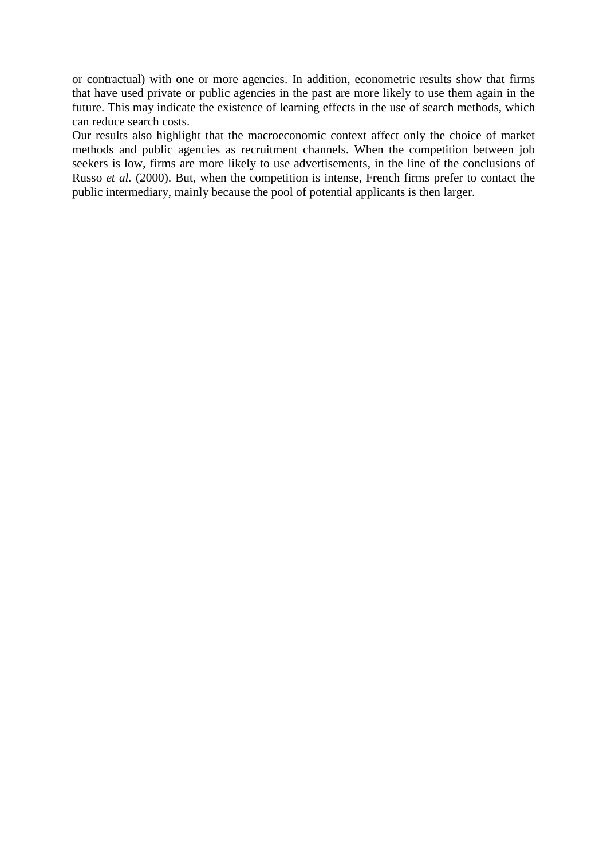or contractual) with one or more agencies. In addition, econometric results show that firms that have used private or public agencies in the past are more likely to use them again in the future. This may indicate the existence of learning effects in the use of search methods, which can reduce search costs.

Our results also highlight that the macroeconomic context affect only the choice of market methods and public agencies as recruitment channels. When the competition between job seekers is low, firms are more likely to use advertisements, in the line of the conclusions of Russo *et al.* (2000). But, when the competition is intense, French firms prefer to contact the public intermediary, mainly because the pool of potential applicants is then larger.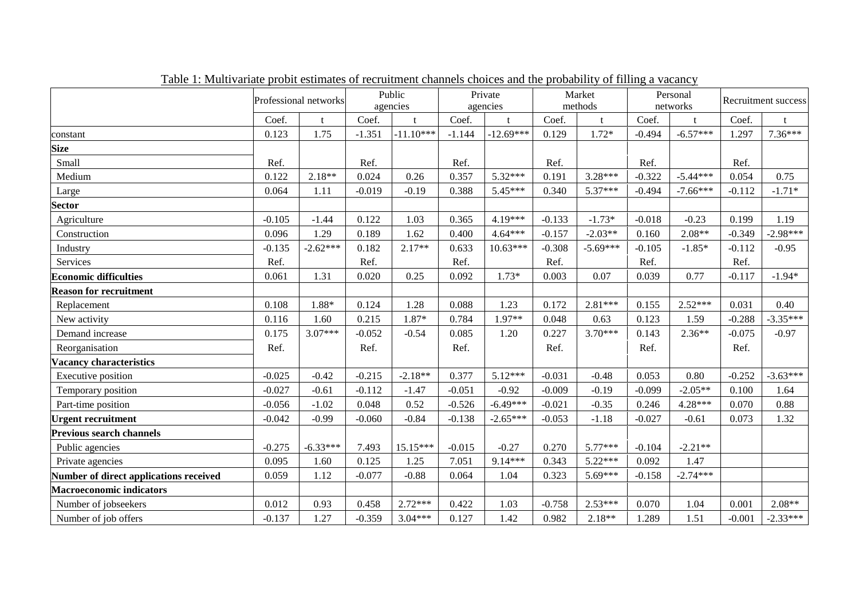|                                        | Professional networks |            | Public<br>agencies |             | Private<br>agencies |             | Market<br>methods |              | Personal<br>networks |              | Recruitment success |            |
|----------------------------------------|-----------------------|------------|--------------------|-------------|---------------------|-------------|-------------------|--------------|----------------------|--------------|---------------------|------------|
|                                        | Coef.                 |            | Coef.              |             | Coef.               | $\ddagger$  | Coef.             | $\mathbf{f}$ | Coef.                | $\mathbf{f}$ | Coef.               |            |
| constant                               | 0.123                 | 1.75       | $-1.351$           | $-11.10***$ | $-1.144$            | $-12.69***$ | 0.129             | $1.72*$      | $-0.494$             | $-6.57***$   | 1.297               | 7.36***    |
| <b>Size</b>                            |                       |            |                    |             |                     |             |                   |              |                      |              |                     |            |
| Small                                  | Ref.                  |            | Ref.               |             | Ref.                |             | Ref.              |              | Ref.                 |              | Ref.                |            |
| Medium                                 | 0.122                 | $2.18**$   | 0.024              | 0.26        | 0.357               | 5.32***     | 0.191             | 3.28***      | $-0.322$             | $-5.44***$   | 0.054               | 0.75       |
| Large                                  | 0.064                 | 1.11       | $-0.019$           | $-0.19$     | 0.388               | $5.45***$   | 0.340             | 5.37***      | $-0.494$             | $-7.66***$   | $-0.112$            | $-1.71*$   |
| <b>Sector</b>                          |                       |            |                    |             |                     |             |                   |              |                      |              |                     |            |
| Agriculture                            | $-0.105$              | $-1.44$    | 0.122              | 1.03        | 0.365               | 4.19***     | $-0.133$          | $-1.73*$     | $-0.018$             | $-0.23$      | 0.199               | 1.19       |
| Construction                           | 0.096                 | 1.29       | 0.189              | 1.62        | 0.400               | 4.64***     | $-0.157$          | $-2.03**$    | 0.160                | $2.08**$     | $-0.349$            | $-2.98***$ |
| Industry                               | $-0.135$              | $-2.62***$ | 0.182              | $2.17**$    | 0.633               | $10.63***$  | $-0.308$          | $-5.69***$   | $-0.105$             | $-1.85*$     | $-0.112$            | $-0.95$    |
| Services                               | Ref.                  |            | Ref.               |             | Ref.                |             | Ref.              |              | Ref.                 |              | Ref.                |            |
| <b>Economic difficulties</b>           | 0.061                 | 1.31       | 0.020              | 0.25        | 0.092               | $1.73*$     | 0.003             | 0.07         | 0.039                | 0.77         | $-0.117$            | $-1.94*$   |
| <b>Reason for recruitment</b>          |                       |            |                    |             |                     |             |                   |              |                      |              |                     |            |
| Replacement                            | 0.108                 | 1.88*      | 0.124              | 1.28        | 0.088               | 1.23        | 0.172             | $2.81***$    | 0.155                | $2.52***$    | 0.031               | 0.40       |
| New activity                           | 0.116                 | 1.60       | 0.215              | 1.87*       | 0.784               | $1.97**$    | 0.048             | 0.63         | 0.123                | 1.59         | $-0.288$            | $-3.35***$ |
| Demand increase                        | 0.175                 | $3.07***$  | $-0.052$           | $-0.54$     | 0.085               | 1.20        | 0.227             | $3.70***$    | 0.143                | $2.36**$     | $-0.075$            | $-0.97$    |
| Reorganisation                         | Ref.                  |            | Ref.               |             | Ref.                |             | Ref.              |              | Ref.                 |              | Ref.                |            |
| Vacancy characteristics                |                       |            |                    |             |                     |             |                   |              |                      |              |                     |            |
| Executive position                     | $-0.025$              | $-0.42$    | $-0.215$           | $-2.18**$   | 0.377               | 5.12***     | $-0.031$          | $-0.48$      | 0.053                | 0.80         | $-0.252$            | $-3.63***$ |
| Temporary position                     | $-0.027$              | $-0.61$    | $-0.112$           | $-1.47$     | $-0.051$            | $-0.92$     | $-0.009$          | $-0.19$      | $-0.099$             | $-2.05**$    | 0.100               | 1.64       |
| Part-time position                     | $-0.056$              | $-1.02$    | 0.048              | 0.52        | $-0.526$            | $-6.49***$  | $-0.021$          | $-0.35$      | 0.246                | 4.28***      | 0.070               | 0.88       |
| <b>Urgent recruitment</b>              | $-0.042$              | $-0.99$    | $-0.060$           | $-0.84$     | $-0.138$            | $-2.65***$  | $-0.053$          | $-1.18$      | $-0.027$             | $-0.61$      | 0.073               | 1.32       |
| <b>Previous search channels</b>        |                       |            |                    |             |                     |             |                   |              |                      |              |                     |            |
| Public agencies                        | $-0.275$              | $-6.33***$ | 7.493              | 15.15***    | $-0.015$            | $-0.27$     | 0.270             | 5.77***      | $-0.104$             | $-2.21**$    |                     |            |
| Private agencies                       | 0.095                 | 1.60       | 0.125              | 1.25        | 7.051               | 9.14***     | 0.343             | $5.22***$    | 0.092                | 1.47         |                     |            |
| Number of direct applications received | 0.059                 | 1.12       | $-0.077$           | $-0.88$     | 0.064               | 1.04        | 0.323             | 5.69***      | $-0.158$             | $-2.74***$   |                     |            |
| <b>Macroeconomic indicators</b>        |                       |            |                    |             |                     |             |                   |              |                      |              |                     |            |
| Number of jobseekers                   | 0.012                 | 0.93       | 0.458              | $2.72***$   | 0.422               | 1.03        | $-0.758$          | $2.53***$    | 0.070                | 1.04         | 0.001               | $2.08**$   |
| Number of job offers                   | $-0.137$              | 1.27       | $-0.359$           | $3.04***$   | 0.127               | 1.42        | 0.982             | $2.18**$     | 1.289                | 1.51         | $-0.001$            | $-2.33***$ |

Table 1: Multivariate probit estimates of recruitment channels choices and the probability of filling a vacancy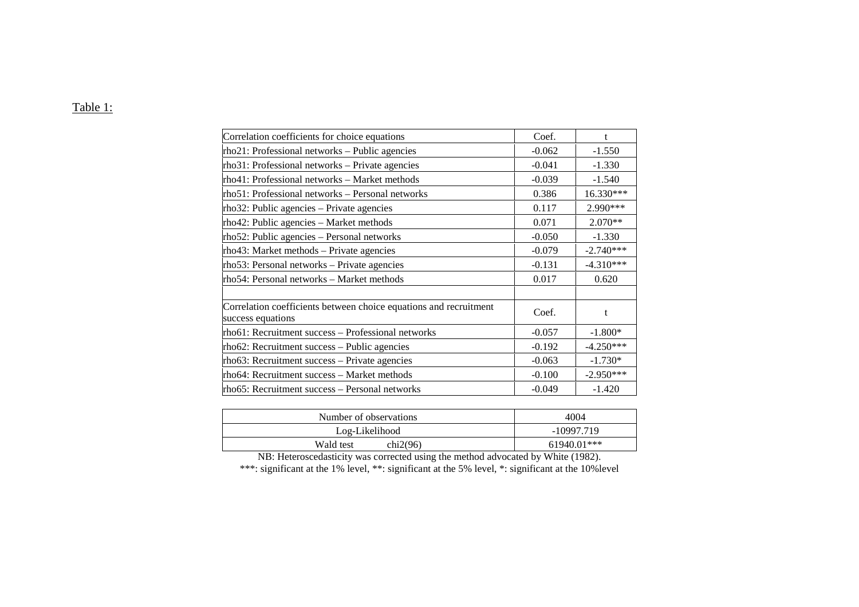# Table 1:

| Correlation coefficients for choice equations                                          | Coef.    | $^{\dagger}$ |
|----------------------------------------------------------------------------------------|----------|--------------|
| rho21: Professional networks – Public agencies                                         | $-0.062$ | $-1.550$     |
| rho31: Professional networks – Private agencies                                        | $-0.041$ | $-1.330$     |
| rho41: Professional networks – Market methods                                          | $-0.039$ | $-1.540$     |
| rho51: Professional networks – Personal networks                                       | 0.386    | 16.330***    |
| rho32: Public agencies - Private agencies                                              | 0.117    | 2.990 ***    |
| rho42: Public agencies - Market methods                                                | 0.071    | $2.070**$    |
| rho52: Public agencies – Personal networks                                             | $-0.050$ | $-1.330$     |
| rho43: Market methods – Private agencies                                               | $-0.079$ | $-2.740***$  |
| rho53: Personal networks – Private agencies                                            | $-0.131$ | $-4.310***$  |
| rho54: Personal networks – Market methods                                              | 0.017    | 0.620        |
|                                                                                        |          |              |
| Correlation coefficients between choice equations and recruitment<br>success equations | Coef.    | t            |
| rho61: Recruitment success – Professional networks                                     | $-0.057$ | $-1.800*$    |
| $rho62$ : Recruitment success – Public agencies                                        | $-0.192$ | $-4.250***$  |
| rho63: Recruitment success – Private agencies                                          | $-0.063$ | $-1.730*$    |
| rho64: Recruitment success – Market methods                                            | $-0.100$ | $-2.950***$  |
| rho65: Recruitment success – Personal networks                                         | $-0.049$ | $-1.420$     |

| Number of observations                                                                             | 4004        |  |  |  |  |
|----------------------------------------------------------------------------------------------------|-------------|--|--|--|--|
| Log-Likelihood                                                                                     | -10997.719  |  |  |  |  |
| Wald test<br>chi2(96)                                                                              | 61940.01*** |  |  |  |  |
| NB: Heteroscedasticity was corrected using the method advocated by White (1982).                   |             |  |  |  |  |
| ***: significant at the 1% level, **: significant at the 5% level, *: significant at the 10% level |             |  |  |  |  |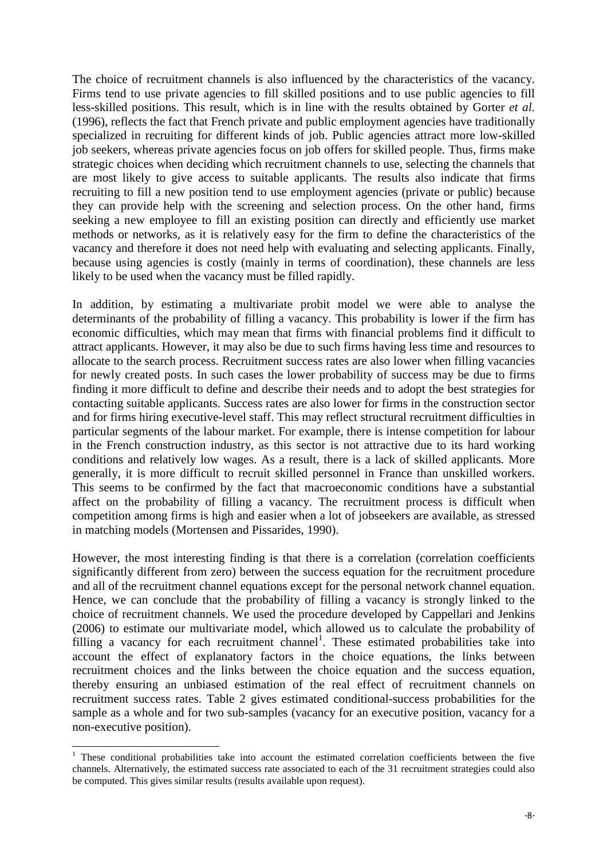The choice of recruitment channels is also influenced by the characteristics of the vacancy. Firms tend to use private agencies to fill skilled positions and to use public agencies to fill less-skilled positions. This result, which is in line with the results obtained by Gorter *et al.* (1996), reflects the fact that French private and public employment agencies have traditionally specialized in recruiting for different kinds of job. Public agencies attract more low-skilled job seekers, whereas private agencies focus on job offers for skilled people. Thus, firms make strategic choices when deciding which recruitment channels to use, selecting the channels that are most likely to give access to suitable applicants. The results also indicate that firms recruiting to fill a new position tend to use employment agencies (private or public) because they can provide help with the screening and selection process. On the other hand, firms seeking a new employee to fill an existing position can directly and efficiently use market methods or networks, as it is relatively easy for the firm to define the characteristics of the vacancy and therefore it does not need help with evaluating and selecting applicants. Finally, because using agencies is costly (mainly in terms of coordination), these channels are less likely to be used when the vacancy must be filled rapidly.

In addition, by estimating a multivariate probit model we were able to analyse the determinants of the probability of filling a vacancy. This probability is lower if the firm has economic difficulties, which may mean that firms with financial problems find it difficult to attract applicants. However, it may also be due to such firms having less time and resources to allocate to the search process. Recruitment success rates are also lower when filling vacancies for newly created posts. In such cases the lower probability of success may be due to firms finding it more difficult to define and describe their needs and to adopt the best strategies for contacting suitable applicants. Success rates are also lower for firms in the construction sector and for firms hiring executive-level staff. This may reflect structural recruitment difficulties in particular segments of the labour market. For example, there is intense competition for labour in the French construction industry, as this sector is not attractive due to its hard working conditions and relatively low wages. As a result, there is a lack of skilled applicants. More generally, it is more difficult to recruit skilled personnel in France than unskilled workers. This seems to be confirmed by the fact that macroeconomic conditions have a substantial affect on the probability of filling a vacancy. The recruitment process is difficult when competition among firms is high and easier when a lot of jobseekers are available, as stressed in matching models (Mortensen and Pissarides, 1990).

However, the most interesting finding is that there is a correlation (correlation coefficients significantly different from zero) between the success equation for the recruitment procedure and all of the recruitment channel equations except for the personal network channel equation. Hence, we can conclude that the probability of filling a vacancy is strongly linked to the choice of recruitment channels. We used the procedure developed by Cappellari and Jenkins (2006) to estimate our multivariate model, which allowed us to calculate the probability of filling a vacancy for each recruitment channel<sup>1</sup>. These estimated probabilities take into account the effect of explanatory factors in the choice equations, the links between recruitment choices and the links between the choice equation and the success equation, thereby ensuring an unbiased estimation of the real effect of recruitment channels on recruitment success rates. Table 2 gives estimated conditional-success probabilities for the sample as a whole and for two sub-samples (vacancy for an executive position, vacancy for a non-executive position).

 $\overline{a}$ 

<sup>&</sup>lt;sup>1</sup> These conditional probabilities take into account the estimated correlation coefficients between the five channels. Alternatively, the estimated success rate associated to each of the 31 recruitment strategies could also be computed. This gives similar results (results available upon request).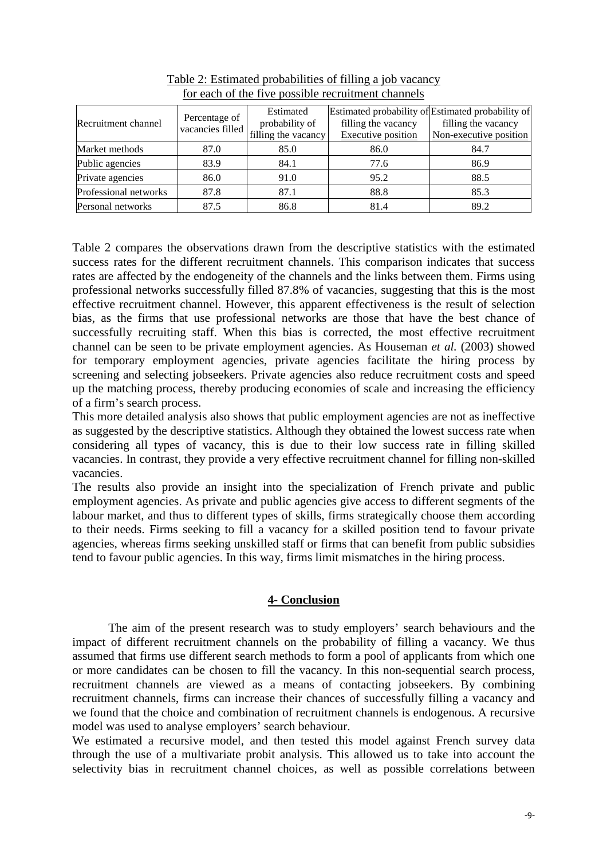| Recruitment channel   | Percentage of<br>vacancies filled | Estimated<br>probability of<br>filling the vacancy | Estimated probability of Estimated probability of<br>filling the vacancy<br>Executive position | filling the vacancy<br>Non-executive position |
|-----------------------|-----------------------------------|----------------------------------------------------|------------------------------------------------------------------------------------------------|-----------------------------------------------|
| Market methods        | 87.0                              | 85.0                                               | 86.0                                                                                           | 84.7                                          |
| Public agencies       | 83.9                              | 84.1                                               | 77.6                                                                                           | 86.9                                          |
| Private agencies      | 86.0                              | 91.0                                               | 95.2                                                                                           | 88.5                                          |
| Professional networks | 87.8                              | 87.1                                               | 88.8                                                                                           | 85.3                                          |
| Personal networks     | 87.5                              | 86.8                                               | 81.4                                                                                           | 89.2                                          |

Table 2: Estimated probabilities of filling a job vacancy for each of the five possible recruitment channels

Table 2 compares the observations drawn from the descriptive statistics with the estimated success rates for the different recruitment channels. This comparison indicates that success rates are affected by the endogeneity of the channels and the links between them. Firms using professional networks successfully filled 87.8% of vacancies, suggesting that this is the most effective recruitment channel. However, this apparent effectiveness is the result of selection bias, as the firms that use professional networks are those that have the best chance of successfully recruiting staff. When this bias is corrected, the most effective recruitment channel can be seen to be private employment agencies. As Houseman *et al.* (2003) showed for temporary employment agencies, private agencies facilitate the hiring process by screening and selecting jobseekers. Private agencies also reduce recruitment costs and speed up the matching process, thereby producing economies of scale and increasing the efficiency of a firm's search process.

This more detailed analysis also shows that public employment agencies are not as ineffective as suggested by the descriptive statistics. Although they obtained the lowest success rate when considering all types of vacancy, this is due to their low success rate in filling skilled vacancies. In contrast, they provide a very effective recruitment channel for filling non-skilled vacancies.

The results also provide an insight into the specialization of French private and public employment agencies. As private and public agencies give access to different segments of the labour market, and thus to different types of skills, firms strategically choose them according to their needs. Firms seeking to fill a vacancy for a skilled position tend to favour private agencies, whereas firms seeking unskilled staff or firms that can benefit from public subsidies tend to favour public agencies. In this way, firms limit mismatches in the hiring process.

### **4- Conclusion**

The aim of the present research was to study employers' search behaviours and the impact of different recruitment channels on the probability of filling a vacancy. We thus assumed that firms use different search methods to form a pool of applicants from which one or more candidates can be chosen to fill the vacancy. In this non-sequential search process, recruitment channels are viewed as a means of contacting jobseekers. By combining recruitment channels, firms can increase their chances of successfully filling a vacancy and we found that the choice and combination of recruitment channels is endogenous. A recursive model was used to analyse employers' search behaviour.

We estimated a recursive model, and then tested this model against French survey data through the use of a multivariate probit analysis. This allowed us to take into account the selectivity bias in recruitment channel choices, as well as possible correlations between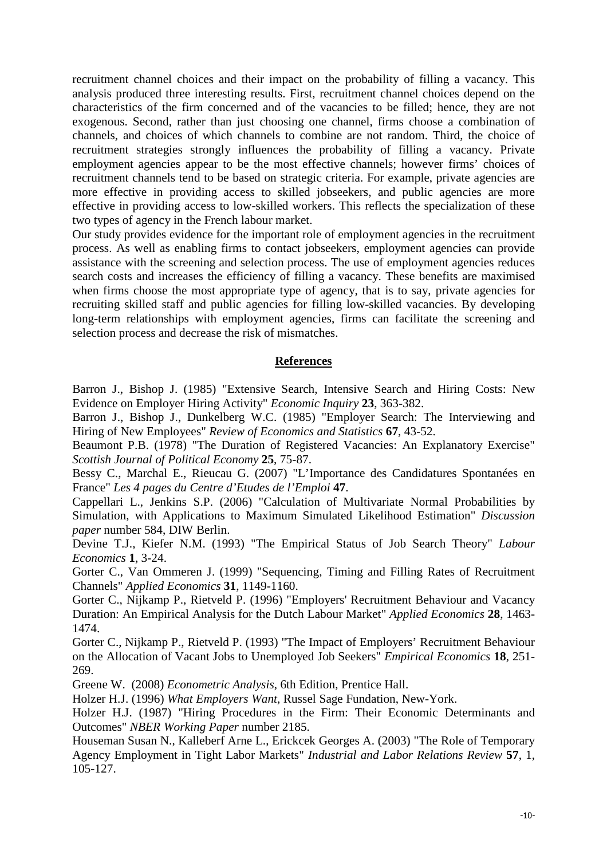recruitment channel choices and their impact on the probability of filling a vacancy. This analysis produced three interesting results. First, recruitment channel choices depend on the characteristics of the firm concerned and of the vacancies to be filled; hence, they are not exogenous. Second, rather than just choosing one channel, firms choose a combination of channels, and choices of which channels to combine are not random. Third, the choice of recruitment strategies strongly influences the probability of filling a vacancy. Private employment agencies appear to be the most effective channels; however firms' choices of recruitment channels tend to be based on strategic criteria. For example, private agencies are more effective in providing access to skilled jobseekers, and public agencies are more effective in providing access to low-skilled workers. This reflects the specialization of these two types of agency in the French labour market.

Our study provides evidence for the important role of employment agencies in the recruitment process. As well as enabling firms to contact jobseekers, employment agencies can provide assistance with the screening and selection process. The use of employment agencies reduces search costs and increases the efficiency of filling a vacancy. These benefits are maximised when firms choose the most appropriate type of agency, that is to say, private agencies for recruiting skilled staff and public agencies for filling low-skilled vacancies. By developing long-term relationships with employment agencies, firms can facilitate the screening and selection process and decrease the risk of mismatches.

## **References**

Barron J., Bishop J. (1985) "Extensive Search, Intensive Search and Hiring Costs: New Evidence on Employer Hiring Activity" *Economic Inquiry* **23**, 363-382.

Barron J., Bishop J., Dunkelberg W.C. (1985) "Employer Search: The Interviewing and Hiring of New Employees" *Review of Economics and Statistics* **67**, 43-52.

Beaumont P.B. (1978) "The Duration of Registered Vacancies: An Explanatory Exercise" *Scottish Journal of Political Economy* **25**, 75-87.

Bessy C., Marchal E., Rieucau G. (2007) "L'Importance des Candidatures Spontanées en France" *Les 4 pages du Centre d'Etudes de l'Emploi* **47**.

Cappellari L., Jenkins S.P. (2006) "Calculation of Multivariate Normal Probabilities by Simulation, with Applications to Maximum Simulated Likelihood Estimation" *Discussion paper* number 584, DIW Berlin.

Devine T.J., Kiefer N.M. (1993) "The Empirical Status of Job Search Theory" *Labour Economics* **1**, 3-24.

Gorter C., Van Ommeren J. (1999) "Sequencing, Timing and Filling Rates of Recruitment Channels" *Applied Economics* **31**, 1149-1160.

Gorter C., Nijkamp P., Rietveld P. (1996) "Employers' Recruitment Behaviour and Vacancy Duration: An Empirical Analysis for the Dutch Labour Market" *Applied Economics* **28**, 1463- 1474.

Gorter C., Nijkamp P., Rietveld P. (1993) "The Impact of Employers' Recruitment Behaviour on the Allocation of Vacant Jobs to Unemployed Job Seekers" *Empirical Economics* **18**, 251- 269.

Greene W. (2008) *Econometric Analysis*, 6th Edition, Prentice Hall.

Holzer H.J. (1996) *What Employers Want*, Russel Sage Fundation, New-York.

Holzer H.J. (1987) "Hiring Procedures in the Firm: Their Economic Determinants and Outcomes" *NBER Working Paper* number 2185.

Houseman Susan N., Kalleberf Arne L., Erickcek Georges A. (2003) "The Role of Temporary Agency Employment in Tight Labor Markets" *Industrial and Labor Relations Review* **57**, 1, 105-127.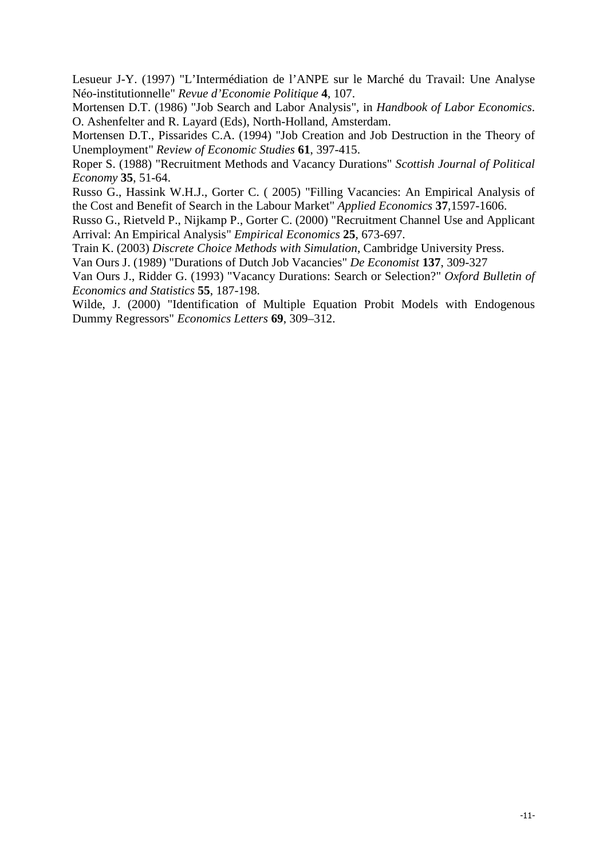Lesueur J-Y. (1997) "L'Intermédiation de l'ANPE sur le Marché du Travail: Une Analyse Néo-institutionnelle" *Revue d'Economie Politique* **4**, 107.

Mortensen D.T. (1986) "Job Search and Labor Analysis", in *Handbook of Labor Economics*. O. Ashenfelter and R. Layard (Eds), North-Holland, Amsterdam.

Mortensen D.T., Pissarides C.A. (1994) "Job Creation and Job Destruction in the Theory of Unemployment" *Review of Economic Studies* **61**, 397-415.

Roper S. (1988) "Recruitment Methods and Vacancy Durations" *Scottish Journal of Political Economy* **35**, 51-64.

Russo G., Hassink W.H.J., Gorter C. ( 2005) "Filling Vacancies: An Empirical Analysis of the Cost and Benefit of Search in the Labour Market" *Applied Economics* **37**,1597-1606.

Russo G., Rietveld P., Nijkamp P., Gorter C. (2000) "Recruitment Channel Use and Applicant Arrival: An Empirical Analysis" *Empirical Economics* **25**, 673-697.

Train K. (2003) *Discrete Choice Methods with Simulation*, Cambridge University Press.

Van Ours J. (1989) "Durations of Dutch Job Vacancies" *De Economist* **137**, 309-327

Van Ours J., Ridder G. (1993) "Vacancy Durations: Search or Selection?" *Oxford Bulletin of Economics and Statistics* **55**, 187-198.

Wilde, J. (2000) "Identification of Multiple Equation Probit Models with Endogenous Dummy Regressors" *Economics Letters* **69**, 309–312.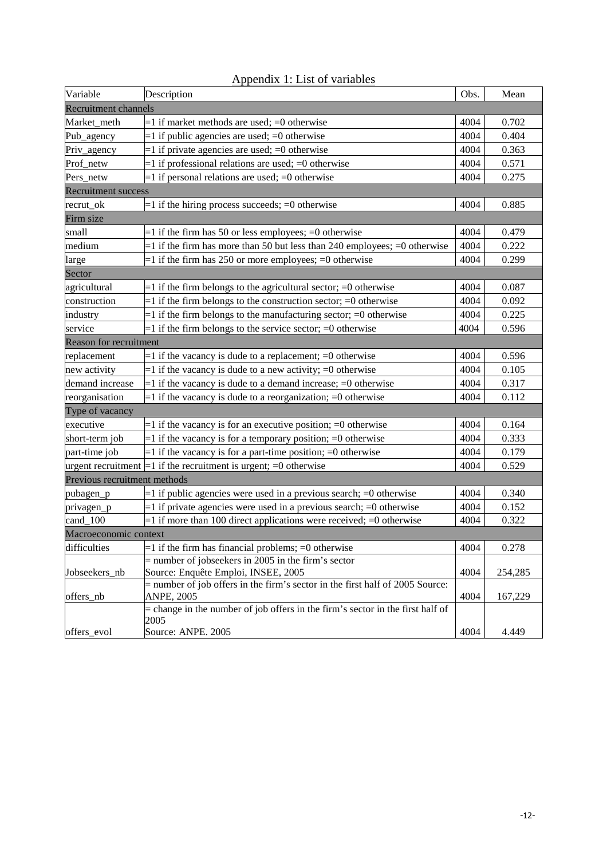| Variable                      | Description                                                                                    | Obs. | Mean    |  |  |  |
|-------------------------------|------------------------------------------------------------------------------------------------|------|---------|--|--|--|
| Recruitment channels          |                                                                                                |      |         |  |  |  |
| Market meth                   | $=1$ if market methods are used; $=0$ otherwise                                                | 4004 | 0.702   |  |  |  |
| Pub_agency                    | $=1$ if public agencies are used; $=0$ otherwise                                               | 4004 | 0.404   |  |  |  |
| Priv_agency                   | $=1$ if private agencies are used; $=0$ otherwise                                              | 4004 | 0.363   |  |  |  |
| Prof_netw                     | $=1$ if professional relations are used; $=0$ otherwise                                        | 4004 | 0.571   |  |  |  |
| Pers_netw                     | $=1$ if personal relations are used; $=0$ otherwise                                            | 4004 | 0.275   |  |  |  |
| <b>Recruitment success</b>    |                                                                                                |      |         |  |  |  |
| recrut_ok                     | $=1$ if the hiring process succeeds; $=0$ otherwise                                            | 4004 | 0.885   |  |  |  |
| Firm size                     |                                                                                                |      |         |  |  |  |
| small                         | $=1$ if the firm has 50 or less employees; $=0$ otherwise                                      | 4004 | 0.479   |  |  |  |
| medium                        | $=1$ if the firm has more than 50 but less than 240 employees; $=0$ otherwise                  | 4004 | 0.222   |  |  |  |
| large                         | $=1$ if the firm has 250 or more employees; $=0$ otherwise                                     | 4004 | 0.299   |  |  |  |
| Sector                        |                                                                                                |      |         |  |  |  |
| agricultural                  | $=1$ if the firm belongs to the agricultural sector; $=0$ otherwise                            | 4004 | 0.087   |  |  |  |
| construction                  | $=1$ if the firm belongs to the construction sector; $=0$ otherwise                            | 4004 | 0.092   |  |  |  |
| industry                      | $=1$ if the firm belongs to the manufacturing sector; $=0$ otherwise                           | 4004 | 0.225   |  |  |  |
| service                       | $=1$ if the firm belongs to the service sector; $=0$ otherwise                                 | 4004 | 0.596   |  |  |  |
| <b>Reason for recruitment</b> |                                                                                                |      |         |  |  |  |
| replacement                   | $=1$ if the vacancy is dude to a replacement; $=0$ otherwise                                   | 4004 | 0.596   |  |  |  |
| new activity                  | $=1$ if the vacancy is dude to a new activity; $=0$ otherwise                                  | 4004 | 0.105   |  |  |  |
| demand increase               | $=1$ if the vacancy is dude to a demand increase; $=0$ otherwise                               | 4004 | 0.317   |  |  |  |
| reorganisation                | $=1$ if the vacancy is dude to a reorganization; $=0$ otherwise                                | 4004 | 0.112   |  |  |  |
| Type of vacancy               |                                                                                                |      |         |  |  |  |
| executive                     | $=1$ if the vacancy is for an executive position; $=0$ otherwise                               | 4004 | 0.164   |  |  |  |
| short-term job                | $=1$ if the vacancy is for a temporary position; $=0$ otherwise                                | 4004 | 0.333   |  |  |  |
| part-time job                 | $=1$ if the vacancy is for a part-time position; $=0$ otherwise                                | 4004 | 0.179   |  |  |  |
|                               | urgent recruitment $=1$ if the recruitment is urgent; $=0$ otherwise                           | 4004 | 0.529   |  |  |  |
| Previous recruitment methods  |                                                                                                |      |         |  |  |  |
| pubagen_p                     | $=1$ if public agencies were used in a previous search; $=0$ otherwise                         | 4004 | 0.340   |  |  |  |
| privagen_p                    | $=1$ if private agencies were used in a previous search; $=0$ otherwise                        | 4004 | 0.152   |  |  |  |
| cand_100                      | $=1$ if more than 100 direct applications were received; $=0$ otherwise                        | 4004 | 0.322   |  |  |  |
| Macroeconomic context         |                                                                                                |      |         |  |  |  |
| difficulties                  | $=1$ if the firm has financial problems; $=0$ otherwise                                        | 4004 | 0.278   |  |  |  |
|                               | $=$ number of jobseekers in 2005 in the firm's sector                                          |      |         |  |  |  |
| Jobseekers_nb                 | Source: Enquête Emploi, INSEE, 2005                                                            | 4004 | 254,285 |  |  |  |
|                               | $=$ number of job offers in the firm's sector in the first half of 2005 Source:                |      |         |  |  |  |
| offers_nb                     | ANPE, 2005<br>$=$ change in the number of job offers in the firm's sector in the first half of | 4004 | 167,229 |  |  |  |
|                               | 2005                                                                                           |      |         |  |  |  |
| offers_evol                   | Source: ANPE. 2005                                                                             | 4004 | 4.449   |  |  |  |

# Appendix 1: List of variables